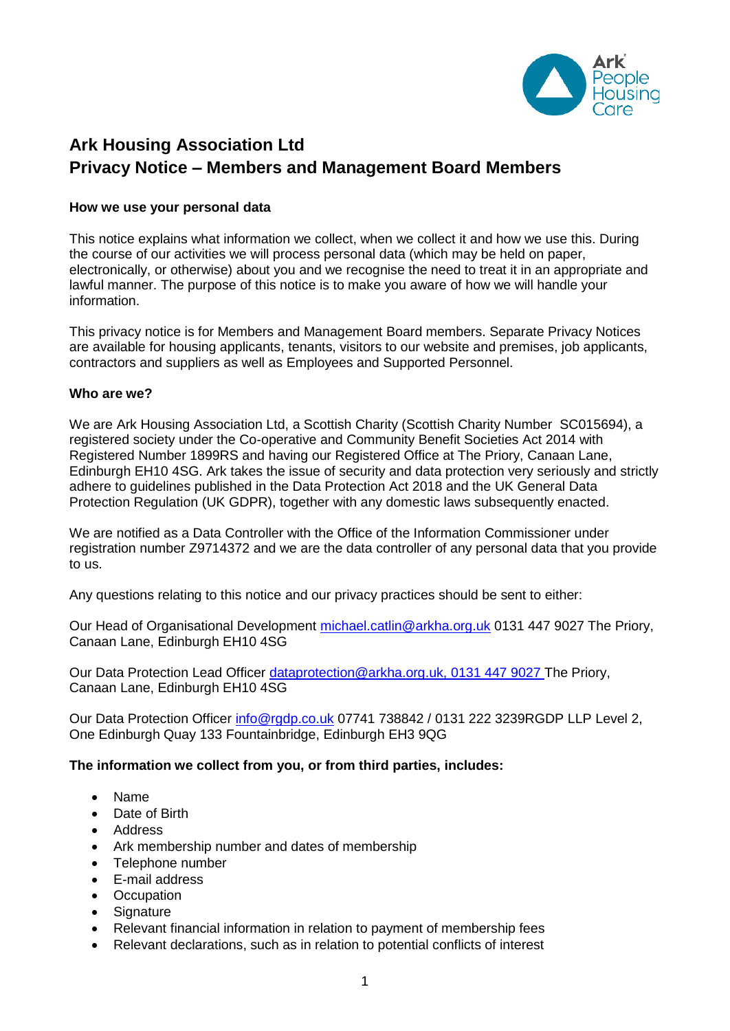

# **Ark Housing Association Ltd Privacy Notice – Members and Management Board Members**

### **How we use your personal data**

This notice explains what information we collect, when we collect it and how we use this. During the course of our activities we will process personal data (which may be held on paper, electronically, or otherwise) about you and we recognise the need to treat it in an appropriate and lawful manner. The purpose of this notice is to make you aware of how we will handle your information.

This privacy notice is for Members and Management Board members. Separate Privacy Notices are available for housing applicants, tenants, visitors to our website and premises, job applicants, contractors and suppliers as well as Employees and Supported Personnel.

#### **Who are we?**

We are Ark Housing Association Ltd, a Scottish Charity (Scottish Charity Number SC015694), a registered society under the Co-operative and Community Benefit Societies Act 2014 with Registered Number 1899RS and having our Registered Office at The Priory, Canaan Lane, Edinburgh EH10 4SG. Ark takes the issue of security and data protection very seriously and strictly adhere to guidelines published in the Data Protection Act 2018 and the UK General Data Protection Regulation (UK GDPR), together with any domestic laws subsequently enacted.

We are notified as a Data Controller with the Office of the Information Commissioner under registration number Z9714372 and we are the data controller of any personal data that you provide to us.

Any questions relating to this notice and our privacy practices should be sent to either:

Our Head of Organisational Development [michael.catlin@arkha.org.uk](mailto:walter.kane@arkha.org.uk) 0131 447 9027 The Priory, Canaan Lane, Edinburgh EH10 4SG

Our Data Protection Lead Officer [dataprotection@arkha.org.uk,](mailto:dataprotection@arkha.org.uk) 0131 447 9027 The Priory, Canaan Lane, Edinburgh EH10 4SG

Our Data Protection Officer [info@rgdp.co.uk](mailto:info@rgdp.co.uk) 07741 738842 / 0131 222 3239RGDP LLP Level 2, One Edinburgh Quay 133 Fountainbridge, Edinburgh EH3 9QG

## **The information we collect from you, or from third parties, includes:**

- Name
- Date of Birth
- Address
- Ark membership number and dates of membership
- Telephone number
- E-mail address
- Occupation
- Signature
- Relevant financial information in relation to payment of membership fees
- Relevant declarations, such as in relation to potential conflicts of interest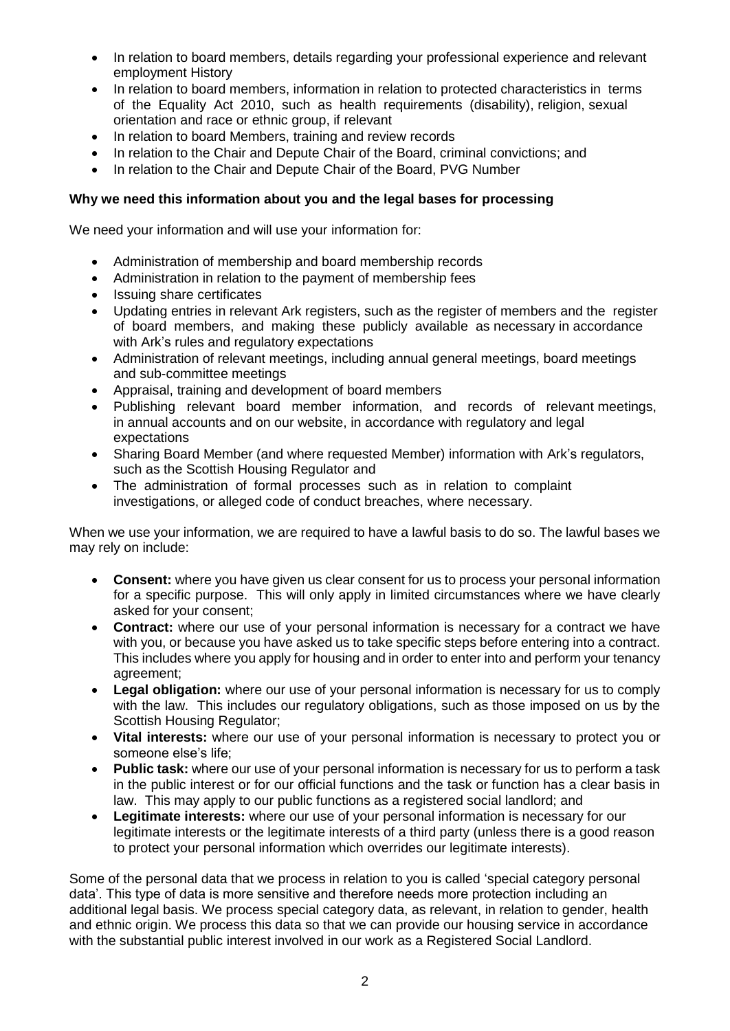- In relation to board members, details regarding your professional experience and relevant employment History
- In relation to board members, information in relation to protected characteristics in terms of the Equality Act 2010, such as health requirements (disability), religion, sexual orientation and race or ethnic group, if relevant
- In relation to board Members, training and review records
- In relation to the Chair and Depute Chair of the Board, criminal convictions; and
- In relation to the Chair and Depute Chair of the Board, PVG Number

## **Why we need this information about you and the legal bases for processing**

We need your information and will use your information for:

- Administration of membership and board membership records
- Administration in relation to the payment of membership fees
- Issuing share certificates
- Updating entries in relevant Ark registers, such as the register of members and the register of board members, and making these publicly available as necessary in accordance with Ark's rules and regulatory expectations
- Administration of relevant meetings, including annual general meetings, board meetings and sub-committee meetings
- Appraisal, training and development of board members
- Publishing relevant board member information, and records of relevant meetings, in annual accounts and on our website, in accordance with regulatory and legal expectations
- Sharing Board Member (and where requested Member) information with Ark's regulators, such as the Scottish Housing Regulator and
- The administration of formal processes such as in relation to complaint investigations, or alleged code of conduct breaches, where necessary.

When we use your information, we are required to have a lawful basis to do so. The lawful bases we may rely on include:

- **Consent:** where you have given us clear consent for us to process your personal information for a specific purpose. This will only apply in limited circumstances where we have clearly asked for your consent;
- **Contract:** where our use of your personal information is necessary for a contract we have with you, or because you have asked us to take specific steps before entering into a contract. This includes where you apply for housing and in order to enter into and perform your tenancy agreement;
- **Legal obligation:** where our use of your personal information is necessary for us to comply with the law. This includes our regulatory obligations, such as those imposed on us by the Scottish Housing Regulator;
- **Vital interests:** where our use of your personal information is necessary to protect you or someone else's life;
- **Public task:** where our use of your personal information is necessary for us to perform a task in the public interest or for our official functions and the task or function has a clear basis in law. This may apply to our public functions as a registered social landlord; and
- **Legitimate interests:** where our use of your personal information is necessary for our legitimate interests or the legitimate interests of a third party (unless there is a good reason to protect your personal information which overrides our legitimate interests).

Some of the personal data that we process in relation to you is called 'special category personal data'. This type of data is more sensitive and therefore needs more protection including an additional legal basis. We process special category data, as relevant, in relation to gender, health and ethnic origin. We process this data so that we can provide our housing service in accordance with the substantial public interest involved in our work as a Registered Social Landlord.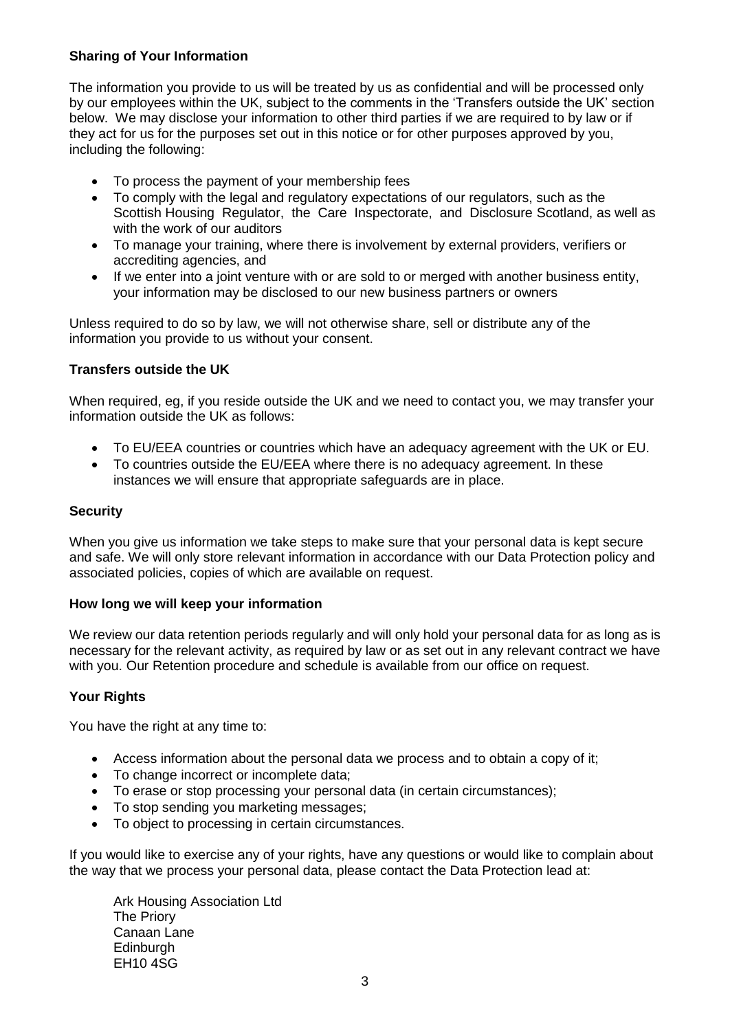## **Sharing of Your Information**

The information you provide to us will be treated by us as confidential and will be processed only by our employees within the UK, subject to the comments in the 'Transfers outside the UK' section below. We may disclose your information to other third parties if we are required to by law or if they act for us for the purposes set out in this notice or for other purposes approved by you, including the following:

- To process the payment of your membership fees
- To comply with the legal and regulatory expectations of our regulators, such as the Scottish Housing Regulator, the Care Inspectorate, and Disclosure Scotland, as well as with the work of our auditors
- To manage your training, where there is involvement by external providers, verifiers or accrediting agencies, and
- If we enter into a joint venture with or are sold to or merged with another business entity, your information may be disclosed to our new business partners or owners

Unless required to do so by law, we will not otherwise share, sell or distribute any of the information you provide to us without your consent.

## **Transfers outside the UK**

When required, eg, if you reside outside the UK and we need to contact you, we may transfer your information outside the UK as follows:

- To EU/EEA countries or countries which have an adequacy agreement with the UK or EU.
- To countries outside the EU/EEA where there is no adequacy agreement. In these instances we will ensure that appropriate safeguards are in place.

### **Security**

When you give us information we take steps to make sure that your personal data is kept secure and safe. We will only store relevant information in accordance with our Data Protection policy and associated policies, copies of which are available on request.

## **How long we will keep your information**

We review our data retention periods regularly and will only hold your personal data for as long as is necessary for the relevant activity, as required by law or as set out in any relevant contract we have with you. Our Retention procedure and schedule is available from our office on request.

## **Your Rights**

You have the right at any time to:

- Access information about the personal data we process and to obtain a copy of it;
- To change incorrect or incomplete data;
- To erase or stop processing your personal data (in certain circumstances);
- To stop sending you marketing messages;
- To object to processing in certain circumstances.

If you would like to exercise any of your rights, have any questions or would like to complain about the way that we process your personal data, please contact the Data Protection lead at:

Ark Housing Association Ltd The Priory Canaan Lane **Edinburgh** EH10 4SG